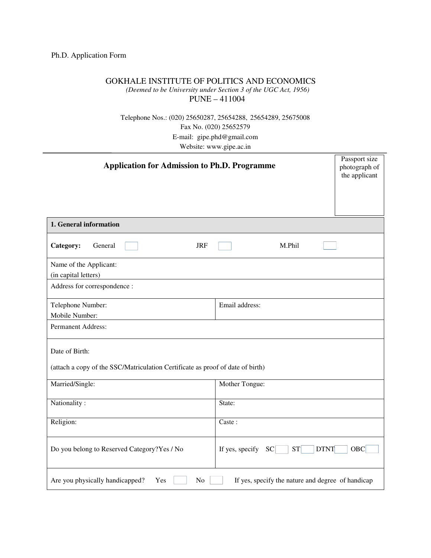## Ph.D. Application Form

## GOKHALE INSTITUTE OF POLITICS AND ECONOMICS

*(Deemed to be University under Section 3 of the UGC Act, 1956)*

PUNE – 411004

Telephone Nos.: (020) 25650287, 25654288, 25654289, 25675008 Fax No. (020) 25652579 E-mail: gipe.phd@gmail.com Website: www.gipe.ac.in

| <b>Application for Admission to Ph.D. Programme</b>                                              |                                                   | Passport size<br>photograph of<br>the applicant |
|--------------------------------------------------------------------------------------------------|---------------------------------------------------|-------------------------------------------------|
| 1. General information                                                                           |                                                   |                                                 |
| Category:<br>General<br><b>JRF</b>                                                               | M.Phil                                            |                                                 |
| Name of the Applicant:<br>(in capital letters)                                                   |                                                   |                                                 |
| Address for correspondence :                                                                     |                                                   |                                                 |
| Telephone Number:<br>Mobile Number:                                                              | Email address:                                    |                                                 |
| Permanent Address:                                                                               |                                                   |                                                 |
| Date of Birth:<br>(attach a copy of the SSC/Matriculation Certificate as proof of date of birth) |                                                   |                                                 |
| Married/Single:                                                                                  | Mother Tongue:                                    |                                                 |
| Nationality:                                                                                     | State:                                            |                                                 |
| Religion:                                                                                        | Caste:                                            |                                                 |
| Do you belong to Reserved Category?Yes / No                                                      | If yes, specify<br> SC <br>ST<br><b>DTNT</b>      | OBC                                             |
| Are you physically handicapped?<br>Yes<br>No                                                     | If yes, specify the nature and degree of handicap |                                                 |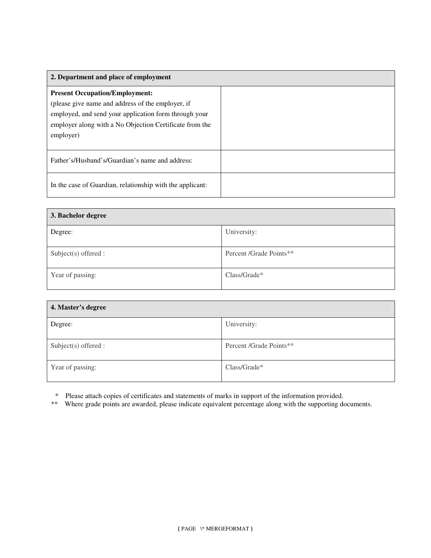| 2. Department and place of employment                                                                                                                                                                                       |  |
|-----------------------------------------------------------------------------------------------------------------------------------------------------------------------------------------------------------------------------|--|
| <b>Present Occupation/Employment:</b><br>(please give name and address of the employer, if<br>employed, and send your application form through your<br>employer along with a No Objection Certificate from the<br>employer) |  |
| Father's/Husband's/Guardian's name and address:                                                                                                                                                                             |  |
| In the case of Guardian, relationship with the applicant:                                                                                                                                                                   |  |

| 3. Bachelor degree     |                         |  |
|------------------------|-------------------------|--|
| Degree:                | University:             |  |
| $Subject(s)$ offered : | Percent /Grade Points** |  |
| Year of passing:       | Class/Grade*            |  |

| 4. Master's degree     |                         |
|------------------------|-------------------------|
| Degree:                | University:             |
| $Subject(s)$ offered : | Percent /Grade Points** |
| Year of passing:       | $Class/Grade*$          |

\* Please attach copies of certificates and statements of marks in support of the information provided.

\*\* Where grade points are awarded, please indicate equivalent percentage along with the supporting documents.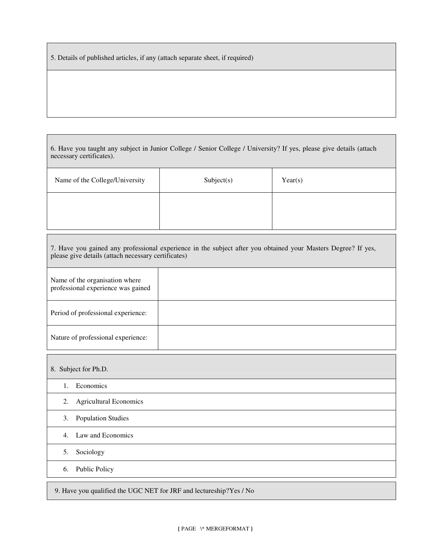5. Details of published articles, if any (attach separate sheet, if required)

| 6. Have you taught any subject in Junior College / Senior College / University? If yes, please give details (attach |  |
|---------------------------------------------------------------------------------------------------------------------|--|
| necessary certificates).                                                                                            |  |

| Name of the College/University | Subject(s) | Year(s) |
|--------------------------------|------------|---------|
|                                |            |         |

| 7. Have you gained any professional experience in the subject after you obtained your Masters Degree? If yes,<br>please give details (attach necessary certificates) |  |  |
|----------------------------------------------------------------------------------------------------------------------------------------------------------------------|--|--|
| Name of the organisation where<br>professional experience was gained                                                                                                 |  |  |
| Period of professional experience:                                                                                                                                   |  |  |
| Nature of professional experience:                                                                                                                                   |  |  |

8. Subject for Ph.D. 1. Economics 2. Agricultural Economics 3. Population Studies 4. Law and Economics 5. Sociology 6. Public Policy

9. Have you qualified the UGC NET for JRF and lectureship?Yes / No